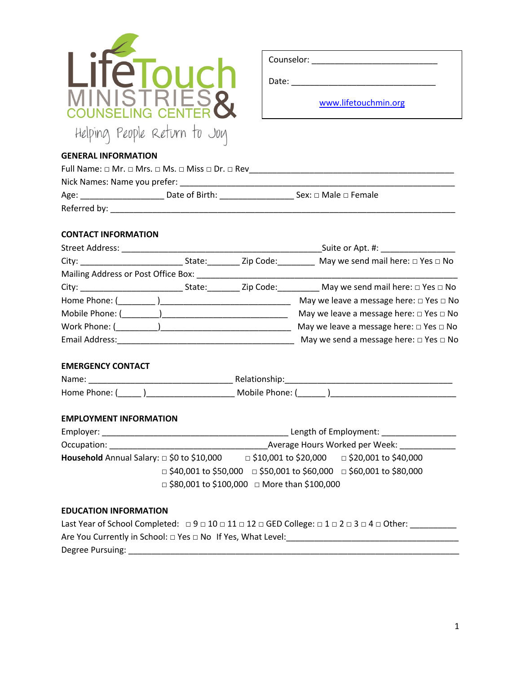| LITelouch                    |
|------------------------------|
| MINISTRIES                   |
| Helping People Return to Joy |

| Counselor: |                      |  |
|------------|----------------------|--|
| Date:      |                      |  |
|            | www.lifetouchmin.org |  |

# **GENERAL INFORMATION**

| Full Name: $\Box$ Mr. $\Box$ Mrs. $\Box$ Ms. $\Box$ Miss $\Box$ Dr. $\Box$ Rev |                |                                |  |  |
|--------------------------------------------------------------------------------|----------------|--------------------------------|--|--|
| Nick Names: Name you prefer:                                                   |                |                                |  |  |
| Age:                                                                           | Date of Birth: | Sex: $\Box$ Male $\Box$ Female |  |  |
| Referred by:                                                                   |                |                                |  |  |
|                                                                                |                |                                |  |  |

## **CONTACT INFORMATION**

| Street Address:                     | Suite or Apt. #: Network and Suite or Apt. |               |                                                         |
|-------------------------------------|--------------------------------------------|---------------|---------------------------------------------------------|
| City: _______________________       | State:                                     | Zip Code:____ | May we send mail here: $\square$ Yes $\square$ No       |
| Mailing Address or Post Office Box: |                                            |               |                                                         |
|                                     |                                            | Zip Code:     | May we send mail here: $\square$ Yes $\square$ No       |
|                                     |                                            |               | May we leave a message here: $\Box$ Yes $\Box$ No       |
| Mobile Phone: (                     |                                            |               | May we leave a message here: $\Box$ Yes $\Box$ No       |
| Work Phone: ( )                     |                                            |               | May we leave a message here: $\square$ Yes $\square$ No |
| Email Address:                      |                                            |               | May we send a message here: $\Box$ Yes $\Box$ No        |

# **EMERGENCY CONTACT**

| Name:       | Relationship: |
|-------------|---------------|
| Home Phone: | Mobile Phone: |

## **EMPLOYMENT INFORMATION**

| Employer:                                              | Length of Employment:                                                                                                                          |  |  |  |  |
|--------------------------------------------------------|------------------------------------------------------------------------------------------------------------------------------------------------|--|--|--|--|
| Occupation:                                            | Average Hours Worked per Week:                                                                                                                 |  |  |  |  |
| <b>Household</b> Annual Salary: $\Box$ \$0 to \$10,000 | $\Box$ \$10,001 to \$20,000 $\Box$ \$20,001 to \$40,000                                                                                        |  |  |  |  |
|                                                        | $\Box$ \$40,001 to \$50,000 $\Box$ \$50,001 to \$60,000 $\Box$ \$60,001 to \$80,000<br>$\Box$ \$80,001 to \$100,000 $\Box$ More than \$100,000 |  |  |  |  |

## **EDUCATION INFORMATION**

| Last Year of School Completed: $\Box 9 \Box 10 \Box 11 \Box 12 \Box$ GED College: $\Box 1 \Box 2 \Box 3 \Box 4 \Box$ Other: |
|-----------------------------------------------------------------------------------------------------------------------------|
| Are You Currently in School: $\Box$ Yes $\Box$ No If Yes, What Level:                                                       |
| Degree Pursuing:                                                                                                            |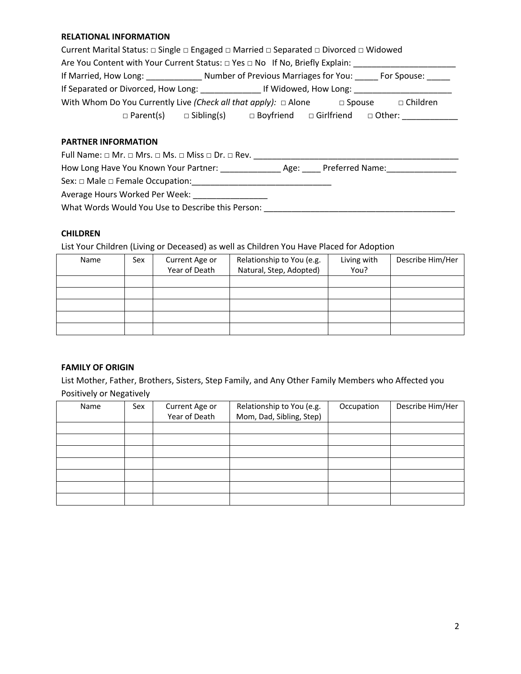#### **RELATIONAL INFORMATION**

| Current Marital Status: □ Single □ Engaged □ Married □ Separated □ Divorced □ Widowed |                                                                                        |                   |                 |  |  |
|---------------------------------------------------------------------------------------|----------------------------------------------------------------------------------------|-------------------|-----------------|--|--|
|                                                                                       | Are You Content with Your Current Status: $\Box$ Yes $\Box$ No If No, Briefly Explain: |                   |                 |  |  |
| If Married, How Long:                                                                 | Number of Previous Marriages for You:                                                  |                   | For Spouse:     |  |  |
| If Separated or Divorced, How Long:                                                   | If Widowed, How Long:                                                                  |                   |                 |  |  |
| With Whom Do You Currently Live (Check all that apply): $\Box$ Alone                  |                                                                                        | $\square$ Spouse  | $\Box$ Children |  |  |
| $\Box$ Parent(s)                                                                      | $\Box$ Boyfriend<br>$\Box$ Sibling(s)                                                  | $\Box$ Girlfriend | $\Box$ Other:   |  |  |

### **PARTNER INFORMATION**

Full Name: □ Mr. □ Mrs. □ Ms. □ Miss □ Dr. □ Rev. \_\_\_\_\_\_\_\_\_\_\_\_\_\_\_\_\_\_\_\_\_\_\_\_\_\_\_\_\_\_\_\_\_\_\_\_\_\_\_\_\_\_\_\_

How Long Have You Known Your Partner: \_\_\_\_\_\_\_\_\_\_\_\_\_ Age: \_\_\_\_ Preferred Name:\_\_\_\_\_\_\_\_\_\_\_\_\_\_\_

Sex: □ Male □ Female Occupation:\_\_\_\_\_\_\_\_\_\_\_\_\_\_\_\_\_\_\_\_\_\_\_\_\_\_\_\_\_\_

Average Hours Worked Per Week: \_\_\_\_\_\_\_\_\_\_\_\_\_\_\_\_\_

What Words Would You Use to Describe this Person: \_\_\_\_\_\_\_\_\_\_\_\_\_\_\_\_\_\_\_\_\_\_\_\_\_\_\_\_\_\_\_

## **CHILDREN**

List Your Children (Living or Deceased) as well as Children You Have Placed for Adoption

| Name | Sex | Current Age or<br>Year of Death | Relationship to You (e.g.<br>Natural, Step, Adopted) | Living with<br>You? | Describe Him/Her |
|------|-----|---------------------------------|------------------------------------------------------|---------------------|------------------|
|      |     |                                 |                                                      |                     |                  |
|      |     |                                 |                                                      |                     |                  |
|      |     |                                 |                                                      |                     |                  |
|      |     |                                 |                                                      |                     |                  |
|      |     |                                 |                                                      |                     |                  |

### **FAMILY OF ORIGIN**

List Mother, Father, Brothers, Sisters, Step Family, and Any Other Family Members who Affected you Positively or Negatively

| Name | Sex | Current Age or<br>Year of Death | Relationship to You (e.g.<br>Mom, Dad, Sibling, Step) | Occupation | Describe Him/Her |
|------|-----|---------------------------------|-------------------------------------------------------|------------|------------------|
|      |     |                                 |                                                       |            |                  |
|      |     |                                 |                                                       |            |                  |
|      |     |                                 |                                                       |            |                  |
|      |     |                                 |                                                       |            |                  |
|      |     |                                 |                                                       |            |                  |
|      |     |                                 |                                                       |            |                  |
|      |     |                                 |                                                       |            |                  |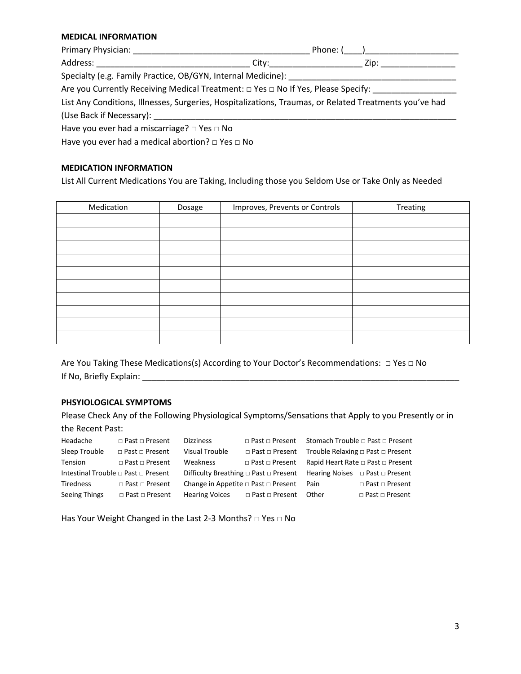#### **MEDICAL INFORMATION**

| Primary Physician: National Primary Physician:                                                         | Phone: ( )                                                                                                                       |  |  |
|--------------------------------------------------------------------------------------------------------|----------------------------------------------------------------------------------------------------------------------------------|--|--|
|                                                                                                        | City:____________________<br>Zip: The Side of the Side of the Side of the Side of the Side of the Side of the Side of the Side o |  |  |
| Specialty (e.g. Family Practice, OB/GYN, Internal Medicine): ___________________                       |                                                                                                                                  |  |  |
| Are you Currently Receiving Medical Treatment: □ Yes □ No If Yes, Please Specify:                      |                                                                                                                                  |  |  |
| List Any Conditions, Illnesses, Surgeries, Hospitalizations, Traumas, or Related Treatments you've had |                                                                                                                                  |  |  |
|                                                                                                        |                                                                                                                                  |  |  |
| Have you ever had a miscarriage? $\Box$ Yes $\Box$ No                                                  |                                                                                                                                  |  |  |

Have you ever had a medical abortion? □ Yes □ No

### **MEDICATION INFORMATION**

List All Current Medications You are Taking, Including those you Seldom Use or Take Only as Needed

| Medication | Dosage | Improves, Prevents or Controls | Treating |
|------------|--------|--------------------------------|----------|
|            |        |                                |          |
|            |        |                                |          |
|            |        |                                |          |
|            |        |                                |          |
|            |        |                                |          |
|            |        |                                |          |
|            |        |                                |          |
|            |        |                                |          |
|            |        |                                |          |
|            |        |                                |          |

Are You Taking These Medications(s) According to Your Doctor's Recommendations: □ Yes □ No If No, Briefly Explain: The Contract of the Contract of the Contract of the Contract of the Contract of the Contract of the Contract of the Contract of the Contract of the Contract of the Contract of the Contract of the Co

## **PHSYIOLOGICAL SYMPTOMS**

Please Check Any of the Following Physiological Symptoms/Sensations that Apply to you Presently or in the Recent Past:

| Headache      | $\Box$ Past $\Box$ Present          | <b>Dizziness</b>      | $\Box$ Past $\Box$ Present                                                                |       | Stomach Trouble □ Past □ Present  |
|---------------|-------------------------------------|-----------------------|-------------------------------------------------------------------------------------------|-------|-----------------------------------|
| Sleep Trouble | $\Box$ Past $\Box$ Present          | <b>Visual Trouble</b> | □ Past □ Present                                                                          |       | Trouble Relaxing □ Past □ Present |
| Tension       | $\Box$ Past $\Box$ Present          | Weakness              | □ Past □ Present Rapid Heart Rate □ Past □ Present                                        |       |                                   |
|               | Intestinal Trouble □ Past □ Present |                       | Difficulty Breathing $\Box$ Past $\Box$ Present Hearing Noises $\Box$ Past $\Box$ Present |       |                                   |
| Tiredness     | $\Box$ Past $\Box$ Present          |                       | Change in Appetite $\Box$ Past $\Box$ Present Pain                                        |       | □ Past □ Present                  |
| Seeing Things | □ Past □ Present                    | <b>Hearing Voices</b> | □ Past □ Present                                                                          | Other | □ Past □ Present                  |

Has Your Weight Changed in the Last 2-3 Months? □ Yes □ No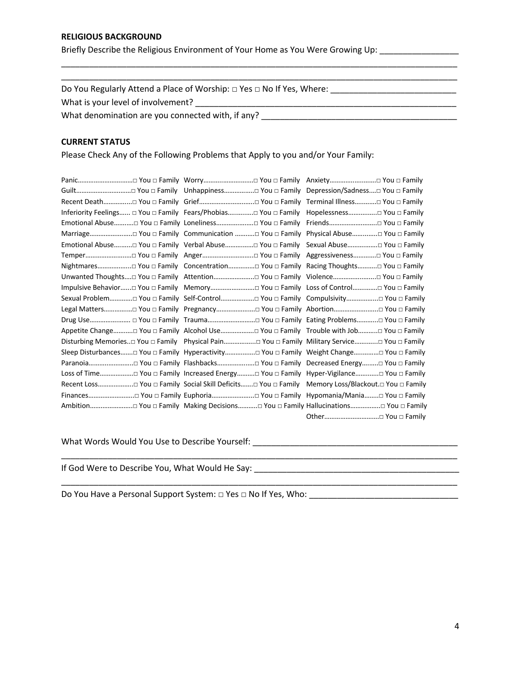#### **RELIGIOUS BACKGROUND**

Briefly Describe the Religious Environment of Your Home as You Were Growing Up: \_\_\_\_\_\_\_\_\_\_\_\_\_\_\_\_\_\_\_

\_\_\_\_\_\_\_\_\_\_\_\_\_\_\_\_\_\_\_\_\_\_\_\_\_\_\_\_\_\_\_\_\_\_\_\_\_\_\_\_\_\_\_\_\_\_\_\_\_\_\_\_\_\_\_\_\_\_\_\_\_\_\_\_\_\_\_\_\_\_\_\_\_\_\_\_\_\_\_\_\_\_\_\_\_ \_\_\_\_\_\_\_\_\_\_\_\_\_\_\_\_\_\_\_\_\_\_\_\_\_\_\_\_\_\_\_\_\_\_\_\_\_\_\_\_\_\_\_\_\_\_\_\_\_\_\_\_\_\_\_\_\_\_\_\_\_\_\_\_\_\_\_\_\_\_\_\_\_\_\_\_\_\_\_\_\_\_\_\_\_

Do You Regularly Attend a Place of Worship: □ Yes □ No If Yes, Where:

What is your level of involvement? **Example 20** and the set of involvement of the set of involvement?

What denomination are you connected with, if any? \_\_\_\_\_\_\_\_\_\_\_\_\_\_\_\_\_\_\_\_\_\_\_\_\_\_\_\_\_\_\_

## **CURRENT STATUS**

Please Check Any of the Following Problems that Apply to you and/or Your Family:

| Inferiority Feelings □ You □ Family Fears/Phobias You □ Family Hopelessness You □ Family |                                                                                              |
|------------------------------------------------------------------------------------------|----------------------------------------------------------------------------------------------|
|                                                                                          |                                                                                              |
| Marriage You □ Family Communication  You □ Family Physical Abuse You □ Family            |                                                                                              |
| Emotional Abuse You □ Family Verbal Abuse You □ Family Sexual Abuse You □ Family         |                                                                                              |
|                                                                                          |                                                                                              |
|                                                                                          |                                                                                              |
| Unwanted Thoughts□ You □ Family Attention You □ Family Violence You □ Family             |                                                                                              |
| Impulsive Behavior□ You □ Family Memory□ You □ Family Loss of Control□ You □ Family      |                                                                                              |
|                                                                                          | Sexual Problem□ You □ Family Self-Control You □ Family Compulsivity You □ Family             |
|                                                                                          |                                                                                              |
|                                                                                          |                                                                                              |
|                                                                                          | Appetite Change□ You □ Family Alcohol Use□ You □ Family Trouble with Job□ You □ Family       |
|                                                                                          | Disturbing Memories. □ You □ Family Physical Pain You □ Family Military Service You □ Family |
|                                                                                          | Sleep Disturbances□ You □ Family Hyperactivity□ You □ Family Weight Change□ You □ Family     |
|                                                                                          |                                                                                              |
|                                                                                          | Loss of Time□ You □ Family Increased Energy□ You □ Family Hyper-Vigilance□ You □ Family      |
|                                                                                          |                                                                                              |
|                                                                                          |                                                                                              |
|                                                                                          |                                                                                              |
|                                                                                          | Other□ You □ Family                                                                          |

\_\_\_\_\_\_\_\_\_\_\_\_\_\_\_\_\_\_\_\_\_\_\_\_\_\_\_\_\_\_\_\_\_\_\_\_\_\_\_\_\_\_\_\_\_\_\_\_\_\_\_\_\_\_\_\_\_\_\_\_\_\_\_\_\_\_\_\_\_\_\_\_\_\_\_\_\_\_\_\_\_\_\_\_\_

What Words Would You Use to Describe Yourself: \_\_\_\_\_\_\_\_\_\_\_\_\_\_\_\_\_\_\_\_\_\_\_\_\_\_\_\_\_\_\_\_\_\_\_\_\_\_\_\_\_\_\_\_

If God Were to Describe You, What Would He Say: **What Would He Say:** We are also write the same of the same of the

Do You Have a Personal Support System: □ Yes □ No If Yes, Who: \_\_\_\_\_\_\_\_\_\_\_\_\_\_\_\_\_\_\_\_\_\_\_\_\_\_\_\_\_\_\_\_

\_\_\_\_\_\_\_\_\_\_\_\_\_\_\_\_\_\_\_\_\_\_\_\_\_\_\_\_\_\_\_\_\_\_\_\_\_\_\_\_\_\_\_\_\_\_\_\_\_\_\_\_\_\_\_\_\_\_\_\_\_\_\_\_\_\_\_\_\_\_\_\_\_\_\_\_\_\_\_\_\_\_\_\_\_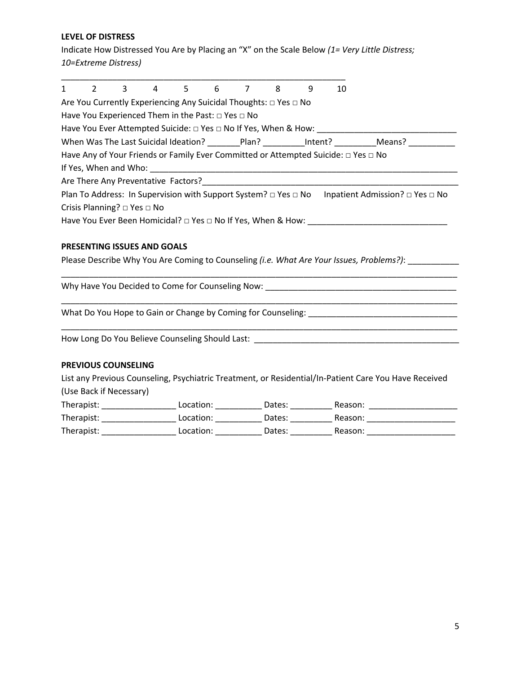**LEVEL OF DISTRESS** 

Indicate How Distressed You Are by Placing an "X" on the Scale Below *(1= Very Little Distress; 10=Extreme Distress)* 

| 1 | $\overline{2}$ | $\overline{\mathbf{3}}$                     | 4                                                 | 5 | 6 |                                                                           | 8 | 9 | 10                                                                                 |                                 |
|---|----------------|---------------------------------------------|---------------------------------------------------|---|---|---------------------------------------------------------------------------|---|---|------------------------------------------------------------------------------------|---------------------------------|
|   |                |                                             |                                                   |   |   | Are You Currently Experiencing Any Suicidal Thoughts: □ Yes □ No          |   |   |                                                                                    |                                 |
|   |                |                                             | Have You Experienced Them in the Past: □ Yes □ No |   |   |                                                                           |   |   |                                                                                    |                                 |
|   |                |                                             |                                                   |   |   | Have You Ever Attempted Suicide: □ Yes □ No If Yes, When & How:           |   |   |                                                                                    |                                 |
|   |                |                                             |                                                   |   |   | When Was The Last Suicidal Ideation? Plan? Intent?                        |   |   |                                                                                    | Means?                          |
|   |                |                                             |                                                   |   |   |                                                                           |   |   | Have Any of Your Friends or Family Ever Committed or Attempted Suicide: □ Yes □ No |                                 |
|   |                | If Yes, When and Who:                       |                                                   |   |   |                                                                           |   |   |                                                                                    |                                 |
|   |                |                                             | Are There Any Preventative Factors?               |   |   |                                                                           |   |   |                                                                                    |                                 |
|   |                |                                             |                                                   |   |   | Plan To Address: In Supervision with Support System? $\Box$ Yes $\Box$ No |   |   |                                                                                    | Inpatient Admission? □ Yes □ No |
|   |                | Crisis Planning? $\square$ Yes $\square$ No |                                                   |   |   |                                                                           |   |   |                                                                                    |                                 |
|   |                |                                             |                                                   |   |   | Have You Ever Been Homicidal? □ Yes □ No If Yes, When & How:              |   |   |                                                                                    |                                 |

\_\_\_\_\_\_\_\_\_\_\_\_\_\_\_\_\_\_\_\_\_\_\_\_\_\_\_\_\_\_\_\_\_\_\_\_\_\_\_\_\_\_\_\_\_\_\_\_\_\_\_\_\_\_\_\_\_\_\_\_\_\_\_\_\_\_\_\_\_\_\_\_\_\_\_\_\_\_\_\_\_\_\_\_\_

\_\_\_\_\_\_\_\_\_\_\_\_\_\_\_\_\_\_\_\_\_\_\_\_\_\_\_\_\_\_\_\_\_\_\_\_\_\_\_\_\_\_\_\_\_\_\_\_\_\_\_\_\_\_\_\_\_\_\_\_\_\_\_\_\_\_\_\_\_\_\_\_\_\_\_\_\_\_\_\_\_\_\_\_\_

\_\_\_\_\_\_\_\_\_\_\_\_\_\_\_\_\_\_\_\_\_\_\_\_\_\_\_\_\_\_\_\_\_\_\_\_\_\_\_\_\_\_\_\_\_\_\_\_\_\_\_\_\_\_\_\_\_\_\_\_\_\_\_\_\_\_\_\_\_\_\_\_\_\_\_\_\_\_\_\_\_\_\_\_\_

## **PRESENTING ISSUES AND GOALS**

Please Describe Why You Are Coming to Counseling *(i.e. What Are Your Issues, Problems?)*: \_\_\_\_\_\_\_\_\_\_\_

Why Have You Decided to Come for Counseling Now: \_\_\_\_\_\_\_\_\_\_\_\_\_\_\_\_\_\_\_\_\_\_\_\_\_\_\_\_\_\_\_

What Do You Hope to Gain or Change by Coming for Counseling: \_\_\_\_\_\_\_\_\_\_\_\_\_\_\_\_\_\_\_\_

How Long Do You Believe Counseling Should Last: \_\_\_\_\_\_\_\_\_\_\_\_\_\_\_\_\_\_\_\_\_\_\_\_\_\_\_\_\_\_\_\_\_

### **PREVIOUS COUNSELING**

List any Previous Counseling, Psychiatric Treatment, or Residential/In-Patient Care You Have Received (Use Back if Necessary)

| Therapist: | Location: | Dates: | Reason: |
|------------|-----------|--------|---------|
| Therapist: | Location: | Dates: | Reason: |
| Therapist: | Location: | Dates: | Reason: |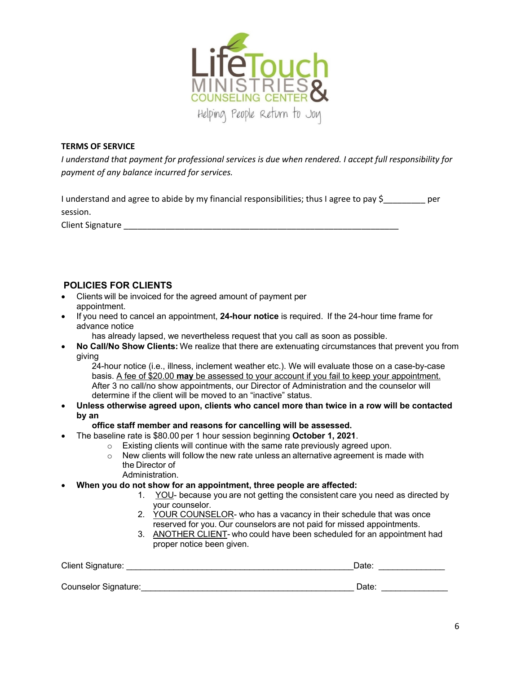

## **TERMS OF SERVICE**

*I understand that payment for professional services is due when rendered. I accept full responsibility for payment of any balance incurred for services.* 

I understand and agree to abide by my financial responsibilities; thus I agree to pay \$ per session.

Client Signature extendion of the state of the state of the state of the state of the state of the state of the

# **POLICIES FOR CLIENTS**

- Clients will be invoiced for the agreed amount of payment per appointment.
- If you need to cancel an appointment, **24-hour notice** is required.  If the 24-hour time frame for advance notice
	- has already lapsed, we nevertheless request that you call as soon as possible.
- **No Call/No Show Clients:** We realize that there are extenuating circumstances that prevent you from giving

24-hour notice (i.e., illness, inclement weather etc.). We will evaluate those on a case-by-case basis. A fee of \$20.00 **may** be assessed to your account if you fail to keep your appointment. After 3 no call/no show appointments, our Director of Administration and the counselor will determine if the client will be moved to an "inactive" status. 

• **Unless otherwise agreed upon, clients who cancel more than twice in a row will be contacted by an**

## **office staff member and reasons for cancelling will be assessed.**

- The baseline rate is \$80.00 per 1 hour session beginning **October 1, 2021**.
	- o Existing clients will continue with the same rate previously agreed upon.
	- o New clients will follow the new rate unless an alternative agreement is made with the Director of
		- Administration.
- **When you do not show for an appointment, three people are affected:**
	- 1. YOU- because you are not getting the consistent care you need as directed by your counselor.
	- 2. YOUR COUNSELOR- who has a vacancy in their schedule that was once reserved for you. Our counselors are not paid for missed appointments.
	- 3. ANOTHER CLIENT- who could have been scheduled for an appointment had proper notice been given.

| Client Signature:    | Date: |  |  |
|----------------------|-------|--|--|
|                      |       |  |  |
| Counselor Signature: | Date: |  |  |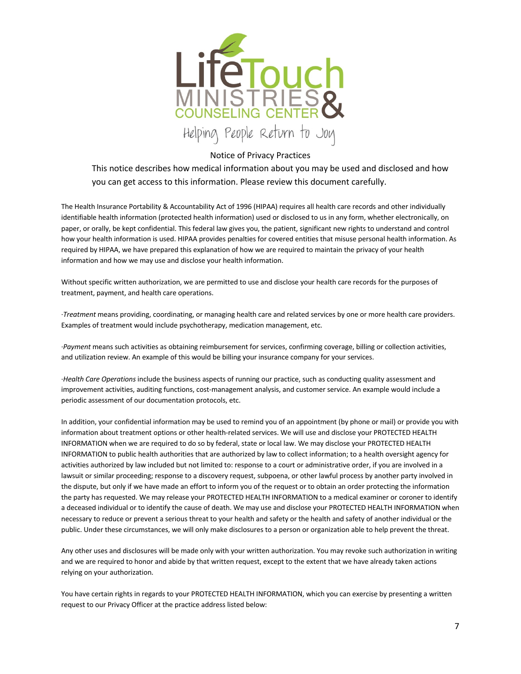

Notice of Privacy Practices

This notice describes how medical information about you may be used and disclosed and how you can get access to this information. Please review this document carefully.

The Health Insurance Portability & Accountability Act of 1996 (HIPAA) requires all health care records and other individually identifiable health information (protected health information) used or disclosed to us in any form, whether electronically, on paper, or orally, be kept confidential. This federal law gives you, the patient, significant new rights to understand and control how your health information is used. HIPAA provides penalties for covered entities that misuse personal health information. As required by HIPAA, we have prepared this explanation of how we are required to maintain the privacy of your health information and how we may use and disclose your health information.

Without specific written authorization, we are permitted to use and disclose your health care records for the purposes of treatment, payment, and health care operations.

·*Treatment* means providing, coordinating, or managing health care and related services by one or more health care providers. Examples of treatment would include psychotherapy, medication management, etc.

·*Payment* means such activities as obtaining reimbursement for services, confirming coverage, billing or collection activities, and utilization review. An example of this would be billing your insurance company for your services.

·*Health Care Operations* include the business aspects of running our practice, such as conducting quality assessment and improvement activities, auditing functions, cost-management analysis, and customer service. An example would include a periodic assessment of our documentation protocols, etc.

In addition, your confidential information may be used to remind you of an appointment (by phone or mail) or provide you with information about treatment options or other health-related services. We will use and disclose your PROTECTED HEALTH INFORMATION when we are required to do so by federal, state or local law. We may disclose your PROTECTED HEALTH INFORMATION to public health authorities that are authorized by law to collect information; to a health oversight agency for activities authorized by law included but not limited to: response to a court or administrative order, if you are involved in a lawsuit or similar proceeding; response to a discovery request, subpoena, or other lawful process by another party involved in the dispute, but only if we have made an effort to inform you of the request or to obtain an order protecting the information the party has requested. We may release your PROTECTED HEALTH INFORMATION to a medical examiner or coroner to identify a deceased individual or to identify the cause of death. We may use and disclose your PROTECTED HEALTH INFORMATION when necessary to reduce or prevent a serious threat to your health and safety or the health and safety of another individual or the public. Under these circumstances, we will only make disclosures to a person or organization able to help prevent the threat.

Any other uses and disclosures will be made only with your written authorization. You may revoke such authorization in writing and we are required to honor and abide by that written request, except to the extent that we have already taken actions relying on your authorization.

You have certain rights in regards to your PROTECTED HEALTH INFORMATION, which you can exercise by presenting a written request to our Privacy Officer at the practice address listed below: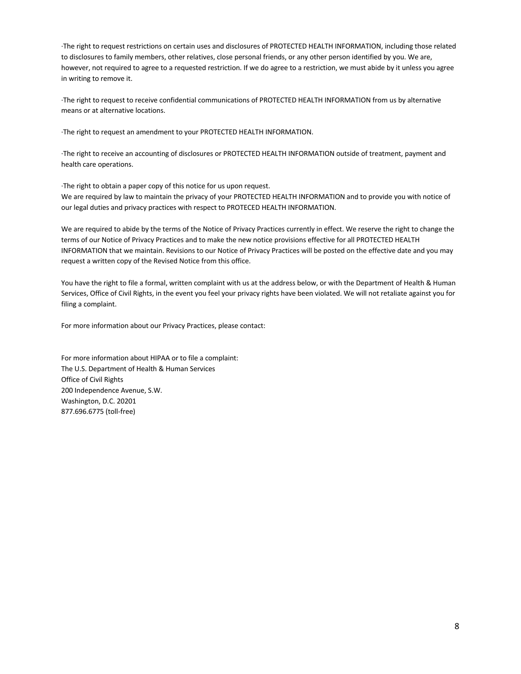·The right to request restrictions on certain uses and disclosures of PROTECTED HEALTH INFORMATION, including those related to disclosures to family members, other relatives, close personal friends, or any other person identified by you. We are, however, not required to agree to a requested restriction. If we do agree to a restriction, we must abide by it unless you agree in writing to remove it.

·The right to request to receive confidential communications of PROTECTED HEALTH INFORMATION from us by alternative means or at alternative locations.

·The right to request an amendment to your PROTECTED HEALTH INFORMATION.

·The right to receive an accounting of disclosures or PROTECTED HEALTH INFORMATION outside of treatment, payment and health care operations.

·The right to obtain a paper copy of this notice for us upon request. We are required by law to maintain the privacy of your PROTECTED HEALTH INFORMATION and to provide you with notice of our legal duties and privacy practices with respect to PROTECED HEALTH INFORMATION.

We are required to abide by the terms of the Notice of Privacy Practices currently in effect. We reserve the right to change the terms of our Notice of Privacy Practices and to make the new notice provisions effective for all PROTECTED HEALTH INFORMATION that we maintain. Revisions to our Notice of Privacy Practices will be posted on the effective date and you may request a written copy of the Revised Notice from this office.

You have the right to file a formal, written complaint with us at the address below, or with the Department of Health & Human Services, Office of Civil Rights, in the event you feel your privacy rights have been violated. We will not retaliate against you for filing a complaint.

For more information about our Privacy Practices, please contact:

For more information about HIPAA or to file a complaint: The U.S. Department of Health & Human Services Office of Civil Rights 200 Independence Avenue, S.W. Washington, D.C. 20201 877.696.6775 (toll-free)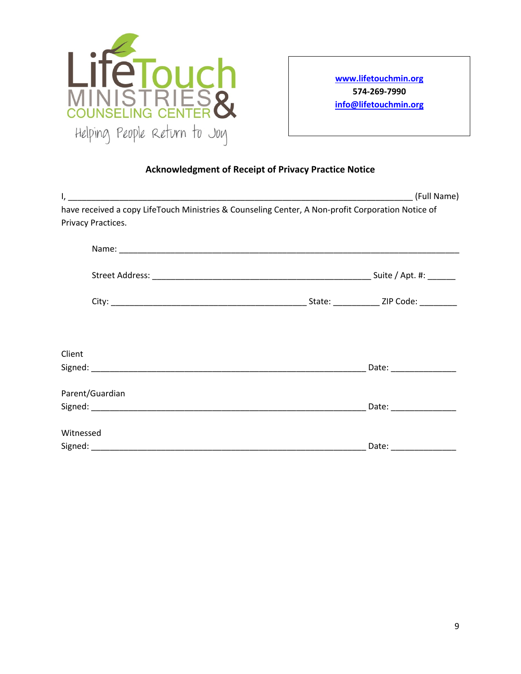

**www.lifetouchmin.org 574-269-7990 info@lifetouchmin.org**

# **Acknowledgment of Receipt of Privacy Practice Notice**

|                                                                                                   | (Full Name)             |
|---------------------------------------------------------------------------------------------------|-------------------------|
| have received a copy LifeTouch Ministries & Counseling Center, A Non-profit Corporation Notice of |                         |
| Privacy Practices.                                                                                |                         |
|                                                                                                   |                         |
|                                                                                                   |                         |
|                                                                                                   |                         |
|                                                                                                   |                         |
| Client                                                                                            |                         |
|                                                                                                   |                         |
| Parent/Guardian                                                                                   |                         |
|                                                                                                   |                         |
| Witnessed                                                                                         |                         |
|                                                                                                   | Date: _________________ |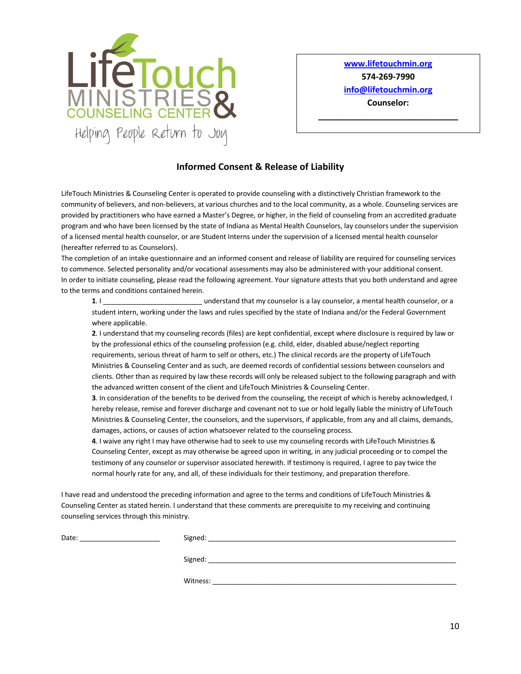

**www.lifetouchmin.org 574-269-7990 info@lifetouchmin.org Counselor:** 

**\_\_\_\_\_\_\_\_\_\_\_\_\_\_\_\_\_\_\_\_\_\_\_\_\_\_\_\_\_\_**

# **Informed Consent & Release of Liability**

LifeTouch Ministries & Counseling Center is operated to provide counseling with a distinctively Christian framework to the community of believers, and non-believers, at various churches and to the local community, as a whole. Counseling services are provided by practitioners who have earned a Master's Degree, or higher, in the field of counseling from an accredited graduate program and who have been licensed by the state of Indiana as Mental Health Counselors, lay counselors under the supervision of a licensed mental health counselor, or are Student Interns under the supervision of a licensed mental health counselor (hereafter referred to as Counselors).

The completion of an intake questionnaire and an informed consent and release of liability are required for counseling services to commence. Selected personality and/or vocational assessments may also be administered with your additional consent. In order to initiate counseling, please read the following agreement. Your signature attests that you both understand and agree to the terms and conditions contained herein.

**1**. I **all a conserverse in that my counselor** is a lay counselor, a mental health counselor, or a student intern, working under the laws and rules specified by the state of Indiana and/or the Federal Government where applicable.

**2**. I understand that my counseling records (files) are kept confidential, except where disclosure is required by law or by the professional ethics of the counseling profession (e.g. child, elder, disabled abuse/neglect reporting requirements, serious threat of harm to self or others, etc.) The clinical records are the property of LifeTouch Ministries & Counseling Center and as such, are deemed records of confidential sessions between counselors and clients. Other than as required by law these records will only be released subject to the following paragraph and with the advanced written consent of the client and LifeTouch Ministries & Counseling Center.

**3**. In consideration of the benefits to be derived from the counseling, the receipt of which is hereby acknowledged, I hereby release, remise and forever discharge and covenant not to sue or hold legally liable the ministry of LifeTouch Ministries & Counseling Center, the counselors, and the supervisors, if applicable, from any and all claims, demands, damages, actions, or causes of action whatsoever related to the counseling process.

**4**. I waive any right I may have otherwise had to seek to use my counseling records with LifeTouch Ministries & Counseling Center, except as may otherwise be agreed upon in writing, in any judicial proceeding or to compel the testimony of any counselor or supervisor associated herewith. If testimony is required, I agree to pay twice the normal hourly rate for any, and all, of these individuals for their testimony, and preparation therefore.

I have read and understood the preceding information and agree to the terms and conditions of LifeTouch Ministries & Counseling Center as stated herein. I understand that these comments are prerequisite to my receiving and continuing counseling services through this ministry.

| Date: | Signed:  |
|-------|----------|
|       |          |
|       | Signed:  |
|       |          |
|       | Witness: |
|       |          |